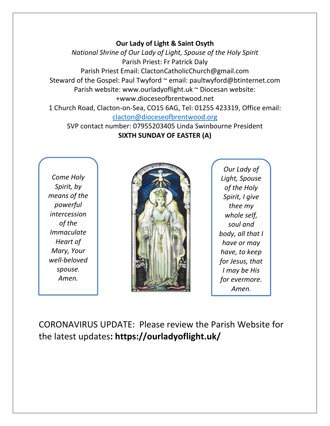#### **Our Lady of Light & Saint Osyth**

*National Shrine of Our Lady of Light, Spouse of the Holy Spirit* Parish Priest: Fr Patrick Daly Parish Priest Email: ClactonCatholicChurch@gmail.com Steward of the Gospel: Paul Twyford ~ email: paultwyford@btinternet.com Parish website: www.ourladyoflight.uk ~ Diocesan website: +www.dioceseofbrentwood.net 1 Church Road, Clacton-on-Sea, CO15 6AG, Tel: 01255 423319, Office email:

[clacton@dioceseofbrentwood.org](mailto:clacton@dioceseofbrentwood.org)

SVP contact number: 07955203405 Linda Swinbourne President **SIXTH SUNDAY OF EASTER (A)**

*Come Holy Spirit, by means of the powerful intercession of the Immaculate Heart of Mary, Your well-beloved spouse. Amen.*



*Our Lady of Light, Spouse of the Holy Spirit, I give thee my whole self, soul and body, all that I have or may have, to keep for Jesus, that I may be His for evermore. Amen.*

CORONAVIRUS UPDATE: Please review the Parish Website for the latest updates**: https://ourladyoflight.uk/**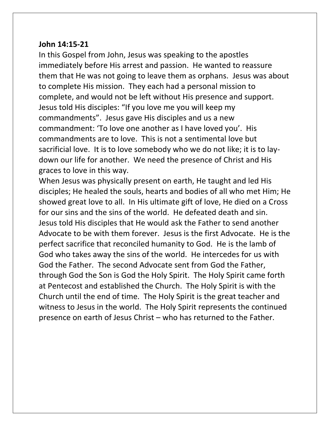#### **John 14:15-21**

In this Gospel from John, Jesus was speaking to the apostles immediately before His arrest and passion. He wanted to reassure them that He was not going to leave them as orphans. Jesus was about to complete His mission. They each had a personal mission to complete, and would not be left without His presence and support. Jesus told His disciples: "If you love me you will keep my commandments". Jesus gave His disciples and us a new commandment: 'To love one another as I have loved you'. His commandments are to love. This is not a sentimental love but sacrificial love. It is to love somebody who we do not like; it is to laydown our life for another. We need the presence of Christ and His graces to love in this way.

When Jesus was physically present on earth, He taught and led His disciples; He healed the souls, hearts and bodies of all who met Him; He showed great love to all. In His ultimate gift of love, He died on a Cross for our sins and the sins of the world. He defeated death and sin. Jesus told His disciples that He would ask the Father to send another Advocate to be with them forever. Jesus is the first Advocate. He is the perfect sacrifice that reconciled humanity to God. He is the lamb of God who takes away the sins of the world. He intercedes for us with God the Father. The second Advocate sent from God the Father, through God the Son is God the Holy Spirit. The Holy Spirit came forth at Pentecost and established the Church. The Holy Spirit is with the Church until the end of time. The Holy Spirit is the great teacher and witness to Jesus in the world. The Holy Spirit represents the continued presence on earth of Jesus Christ – who has returned to the Father.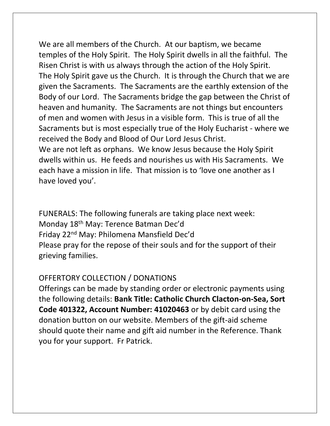We are all members of the Church. At our baptism, we became temples of the Holy Spirit. The Holy Spirit dwells in all the faithful. The Risen Christ is with us always through the action of the Holy Spirit. The Holy Spirit gave us the Church. It is through the Church that we are given the Sacraments. The Sacraments are the earthly extension of the Body of our Lord. The Sacraments bridge the gap between the Christ of heaven and humanity. The Sacraments are not things but encounters of men and women with Jesus in a visible form. This is true of all the Sacraments but is most especially true of the Holy Eucharist - where we received the Body and Blood of Our Lord Jesus Christ. We are not left as orphans. We know Jesus because the Holy Spirit dwells within us. He feeds and nourishes us with His Sacraments. We each have a mission in life. That mission is to 'love one another as I

have loved you'.

FUNERALS: The following funerals are taking place next week: Monday 18th May: Terence Batman Dec'd Friday 22nd May: Philomena Mansfield Dec'd Please pray for the repose of their souls and for the support of their grieving families.

## OFFERTORY COLLECTION / DONATIONS

Offerings can be made by standing order or electronic payments using the following details: **Bank Title: Catholic Church Clacton-on-Sea, Sort Code 401322, Account Number: 41020463** or by debit card using the donation button on our website. Members of the gift-aid scheme should quote their name and gift aid number in the Reference. Thank you for your support. Fr Patrick.